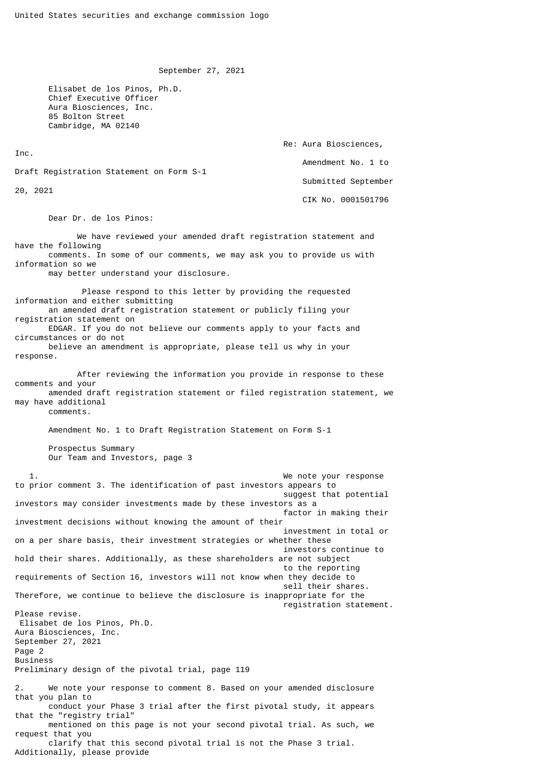September 27, 2021

 Elisabet de los Pinos, Ph.D. Chief Executive Officer Aura Biosciences, Inc. 85 Bolton Street Cambridge, MA 02140

 Re: Aura Biosciences, Inc. Amendment No. 1 to Draft Registration Statement on Form S-1 Submitted September 20, 2021 CIK No. 0001501796

Dear Dr. de los Pinos:

 We have reviewed your amended draft registration statement and have the following comments. In some of our comments, we may ask you to provide us with information so we may better understand your disclosure. Please respond to this letter by providing the requested information and either submitting an amended draft registration statement or publicly filing your registration statement on EDGAR. If you do not believe our comments apply to your facts and circumstances or do not believe an amendment is appropriate, please tell us why in your response. After reviewing the information you provide in response to these comments and your amended draft registration statement or filed registration statement, we may have additional comments. Amendment No. 1 to Draft Registration Statement on Form S-1 Prospectus Summary Our Team and Investors, page 3 1. We note your response to prior comment 3. The identification of past investors appears to suggest that potential investors may consider investments made by these investors as a factor in making their investment decisions without knowing the amount of their investment in total or on a per share basis, their investment strategies or whether these investors continue to hold their shares. Additionally, as these shareholders are not subject to the reporting requirements of Section 16, investors will not know when they decide to sell their shares. Therefore, we continue to believe the disclosure is inappropriate for the registration statement. Please revise. Elisabet de los Pinos, Ph.D. Aura Biosciences, Inc. September 27, 2021 Page 2 Business Preliminary design of the pivotal trial, page 119 2. We note your response to comment 8. Based on your amended disclosure that you plan to conduct your Phase 3 trial after the first pivotal study, it appears that the "registry trial" mentioned on this page is not your second pivotal trial. As such, we request that you clarify that this second pivotal trial is not the Phase 3 trial. Additionally, please provide